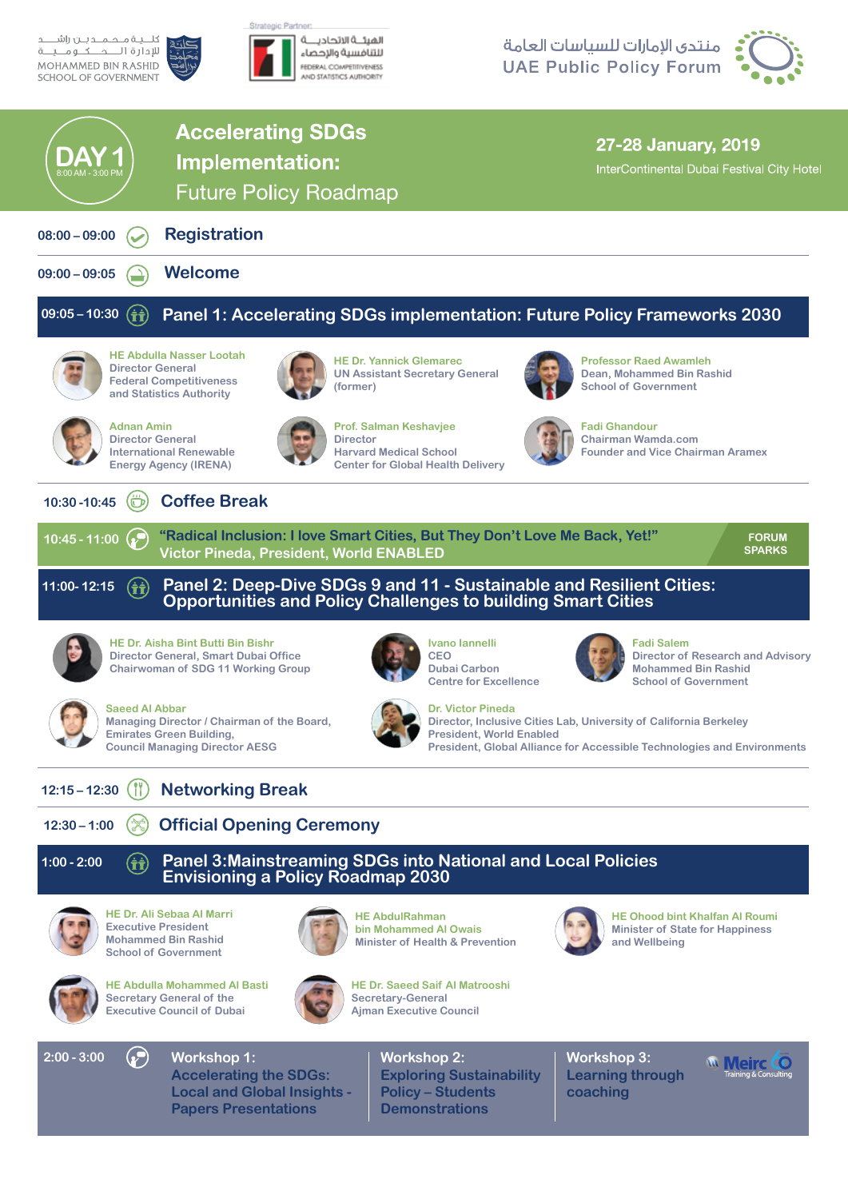

## منتدى الإمارات للسياسات العامة **UAE Public Policy Forum**